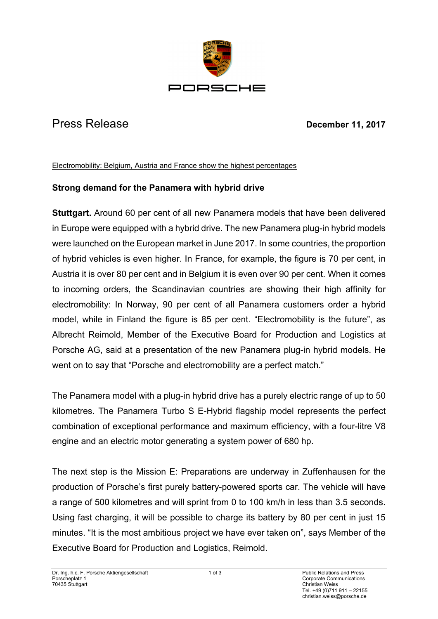

## Press Release **December 11, 2017**

## Electromobility: Belgium, Austria and France show the highest percentages

## **Strong demand for the Panamera with hybrid drive**

**Stuttgart.** Around 60 per cent of all new Panamera models that have been delivered in Europe were equipped with a hybrid drive. The new Panamera plug-in hybrid models were launched on the European market in June 2017. In some countries, the proportion of hybrid vehicles is even higher. In France, for example, the figure is 70 per cent, in Austria it is over 80 per cent and in Belgium it is even over 90 per cent. When it comes to incoming orders, the Scandinavian countries are showing their high affinity for electromobility: In Norway, 90 per cent of all Panamera customers order a hybrid model, while in Finland the figure is 85 per cent. "Electromobility is the future", as Albrecht Reimold, Member of the Executive Board for Production and Logistics at Porsche AG, said at a presentation of the new Panamera plug-in hybrid models. He went on to say that "Porsche and electromobility are a perfect match."

The Panamera model with a plug-in hybrid drive has a purely electric range of up to 50 kilometres. The Panamera Turbo S E-Hybrid flagship model represents the perfect combination of exceptional performance and maximum efficiency, with a four-litre V8 engine and an electric motor generating a system power of 680 hp.

The next step is the Mission E: Preparations are underway in Zuffenhausen for the production of Porsche's first purely battery-powered sports car. The vehicle will have a range of 500 kilometres and will sprint from 0 to 100 km/h in less than 3.5 seconds. Using fast charging, it will be possible to charge its battery by 80 per cent in just 15 minutes. "It is the most ambitious project we have ever taken on", says Member of the Executive Board for Production and Logistics, Reimold.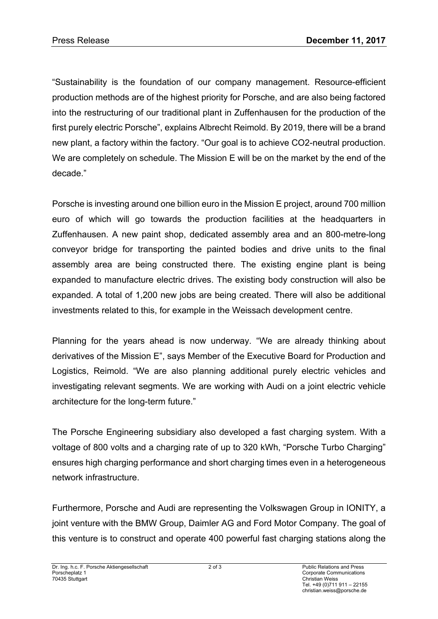"Sustainability is the foundation of our company management. Resource-efficient production methods are of the highest priority for Porsche, and are also being factored into the restructuring of our traditional plant in Zuffenhausen for the production of the first purely electric Porsche", explains Albrecht Reimold. By 2019, there will be a brand new plant, a factory within the factory. "Our goal is to achieve CO2-neutral production. We are completely on schedule. The Mission E will be on the market by the end of the decade."

Porsche is investing around one billion euro in the Mission E project, around 700 million euro of which will go towards the production facilities at the headquarters in Zuffenhausen. A new paint shop, dedicated assembly area and an 800-metre-long conveyor bridge for transporting the painted bodies and drive units to the final assembly area are being constructed there. The existing engine plant is being expanded to manufacture electric drives. The existing body construction will also be expanded. A total of 1,200 new jobs are being created. There will also be additional investments related to this, for example in the Weissach development centre.

Planning for the years ahead is now underway. "We are already thinking about derivatives of the Mission E", says Member of the Executive Board for Production and Logistics, Reimold. "We are also planning additional purely electric vehicles and investigating relevant segments. We are working with Audi on a joint electric vehicle architecture for the long-term future."

The Porsche Engineering subsidiary also developed a fast charging system. With a voltage of 800 volts and a charging rate of up to 320 kWh, "Porsche Turbo Charging" ensures high charging performance and short charging times even in a heterogeneous network infrastructure.

Furthermore, Porsche and Audi are representing the Volkswagen Group in IONITY, a joint venture with the BMW Group, Daimler AG and Ford Motor Company. The goal of this venture is to construct and operate 400 powerful fast charging stations along the